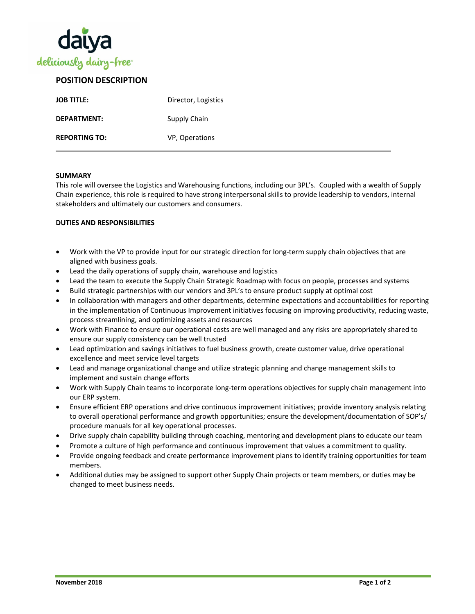

## **POSITION DESCRIPTION**

| <b>JOB TITLE:</b>    | Director, Logistics |
|----------------------|---------------------|
| DEPARTMENT:          | Supply Chain        |
| <b>REPORTING TO:</b> | VP, Operations      |

#### **SUMMARY**

This role will oversee the Logistics and Warehousing functions, including our 3PL's. Coupled with a wealth of Supply Chain experience, this role is required to have strong interpersonal skills to provide leadership to vendors, internal stakeholders and ultimately our customers and consumers.

#### **DUTIES AND RESPONSIBILITIES**

- Work with the VP to provide input for our strategic direction for long-term supply chain objectives that are aligned with business goals.
- Lead the daily operations of supply chain, warehouse and logistics
- Lead the team to execute the Supply Chain Strategic Roadmap with focus on people, processes and systems
- Build strategic partnerships with our vendors and 3PL's to ensure product supply at optimal cost
- In collaboration with managers and other departments, determine expectations and accountabilities for reporting in the implementation of Continuous Improvement initiatives focusing on improving productivity, reducing waste, process streamlining, and optimizing assets and resources
- Work with Finance to ensure our operational costs are well managed and any risks are appropriately shared to ensure our supply consistency can be well trusted
- Lead optimization and savings initiatives to fuel business growth, create customer value, drive operational excellence and meet service level targets
- Lead and manage organizational change and utilize strategic planning and change management skills to implement and sustain change efforts
- Work with Supply Chain teams to incorporate long-term operations objectives for supply chain management into our ERP system.
- Ensure efficient ERP operations and drive continuous improvement initiatives; provide inventory analysis relating to overall operational performance and growth opportunities; ensure the development/documentation of SOP's/ procedure manuals for all key operational processes.
- Drive supply chain capability building through coaching, mentoring and development plans to educate our team
- Promote a culture of high performance and continuous improvement that values a commitment to quality.
- Provide ongoing feedback and create performance improvement plans to identify training opportunities for team members.
- Additional duties may be assigned to support other Supply Chain projects or team members, or duties may be changed to meet business needs.